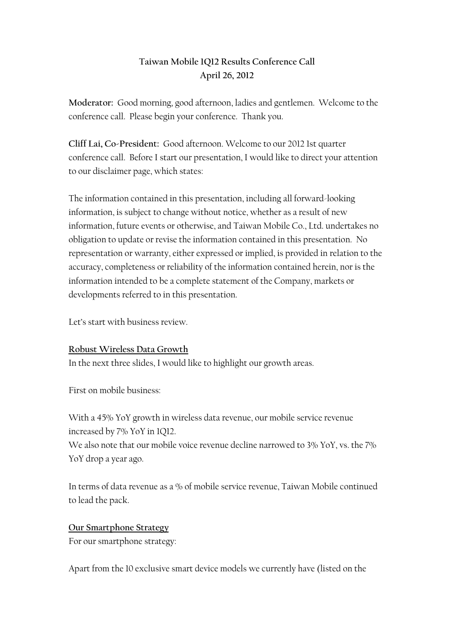# **Taiwan Mobile 1Q12 Results Conference Call April 26, 2012**

**Moderator:** Good morning, good afternoon, ladies and gentlemen. Welcome to the conference call. Please begin your conference. Thank you.

**Cliff Lai, Co-President:** Good afternoon. Welcome to our 2012 1st quarter conference call. Before I start our presentation, I would like to direct your attention to our disclaimer page, which states:

The information contained in this presentation, including all forward-looking information, is subject to change without notice, whether as a result of new information, future events or otherwise, and Taiwan Mobile Co., Ltd. undertakes no obligation to update or revise the information contained in this presentation. No representation or warranty, either expressed or implied, is provided in relation to the accuracy, completeness or reliability of the information contained herein, nor is the information intended to be a complete statement of the Company, markets or developments referred to in this presentation.

Let's start with business review.

## **Robust Wireless Data Growth**

In the next three slides, I would like to highlight our growth areas.

First on mobile business:

With a 45% YoY growth in wireless data revenue, our mobile service revenue increased by 7% YoY in 1Q12.

We also note that our mobile voice revenue decline narrowed to 3% YoY, vs. the 7% YoY drop a year ago.

In terms of data revenue as a % of mobile service revenue, Taiwan Mobile continued to lead the pack.

## **Our Smartphone Strategy**

For our smartphone strategy:

Apart from the 10 exclusive smart device models we currently have (listed on the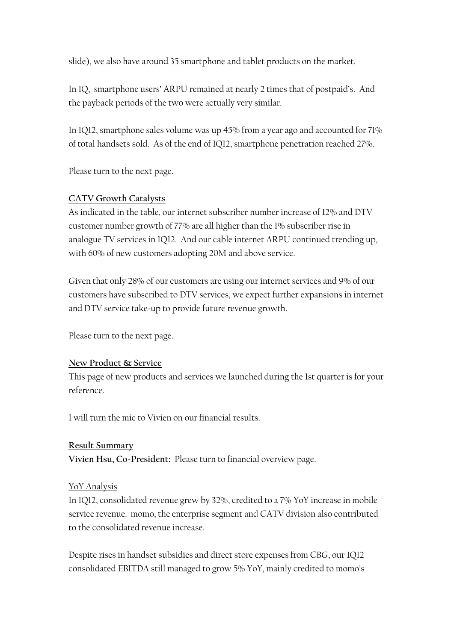slide), we also have around 35 smartphone and tablet products on the market.

In 1Q, smartphone users' ARPU remained at nearly 2 times that of postpaid's. And the payback periods of the two were actually very similar.

In 1Q12, smartphone sales volume was up 45% from a year ago and accounted for 71% of total handsets sold. As of the end of 1Q12, smartphone penetration reached 27%.

Please turn to the next page.

## **CATV Growth Catalysts**

As indicated in the table, our internet subscriber number increase of 12% and DTV customer number growth of 77% are all higher than the 1% subscriber rise in analogue TV services in 1Q12. And our cable internet ARPU continued trending up, with 60% of new customers adopting 20M and above service.

Given that only 28% of our customers are using our internet services and 9% of our customers have subscribed to DTV services, we expect further expansions in internet and DTV service take-up to provide future revenue growth.

Please turn to the next page.

## **New Product & Service**

This page of new products and services we launched during the 1st quarter is for your reference.

I will turn the mic to Vivien on our financial results.

## **Result Summary**

**Vivien Hsu, Co-President:** Please turn to financial overview page.

## YoY Analysis

In 1Q12, consolidated revenue grew by 32%, credited to a 7% YoY increase in mobile service revenue. momo, the enterprise segment and CATV division also contributed to the consolidated revenue increase.

Despite rises in handset subsidies and direct store expenses from CBG, our 1Q12 consolidated EBITDA still managed to grow 5% YoY, mainly credited to momo's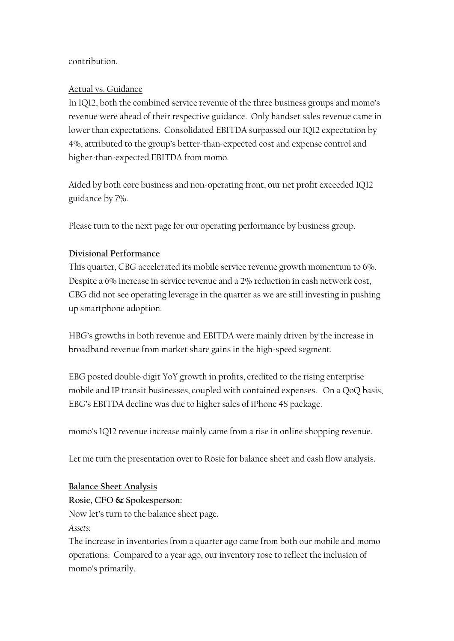## contribution.

## Actual vs. Guidance

In 1Q12, both the combined service revenue of the three business groups and momo's revenue were ahead of their respective guidance. Only handset sales revenue came in lower than expectations. Consolidated EBITDA surpassed our 1Q12 expectation by 4%, attributed to the group's better-than-expected cost and expense control and higher-than-expected EBITDA from momo.

Aided by both core business and non-operating front, our net profit exceeded 1Q12 guidance by 7%.

Please turn to the next page for our operating performance by business group.

### **Divisional Performance**

This quarter, CBG accelerated its mobile service revenue growth momentum to 6%. Despite a 6% increase in service revenue and a 2% reduction in cash network cost, CBG did not see operating leverage in the quarter as we are still investing in pushing up smartphone adoption.

HBG's growths in both revenue and EBITDA were mainly driven by the increase in broadband revenue from market share gains in the high-speed segment.

EBG posted double-digit YoY growth in profits, credited to the rising enterprise mobile and IP transit businesses, coupled with contained expenses. On a QoQ basis, EBG's EBITDA decline was due to higher sales of iPhone 4S package.

momo's 1Q12 revenue increase mainly came from a rise in online shopping revenue.

Let me turn the presentation over to Rosie for balance sheet and cash flow analysis.

#### **Balance Sheet Analysis**

**Rosie, CFO & Spokesperson:**

Now let's turn to the balance sheet page.

*Assets:*

The increase in inventories from a quarter ago came from both our mobile and momo operations. Compared to a year ago, our inventory rose to reflect the inclusion of momo's primarily.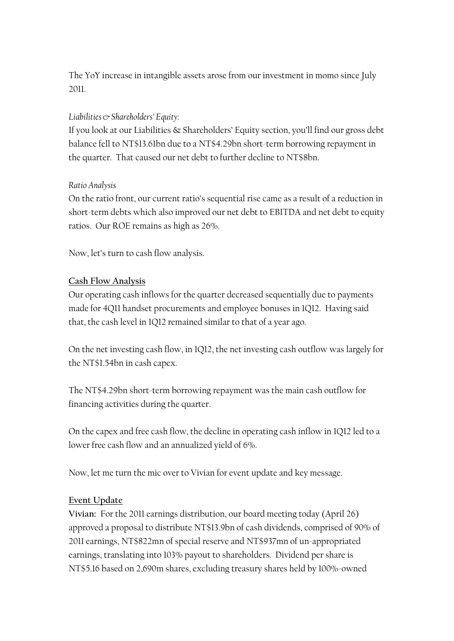The YoY increase in intangible assets arose from our investment in momo since July 2011.

## *Liabilities & Shareholders' Equity:*

If you look at our Liabilities & Shareholders' Equity section, you'll find our gross debt balance fell to NT\$13.61bn due to a NT\$4.29bn short-term borrowing repayment in the quarter. That caused our net debt to further decline to NT\$8bn.

#### *Ratio Analysis*

On the ratio front, our current ratio's sequential rise came as a result of a reduction in short-term debts which also improved our net debt to EBITDA and net debt to equity ratios. Our ROE remains as high as 26%.

Now, let's turn to cash flow analysis.

## **Cash Flow Analysis**

Our operating cash inflows for the quarter decreased sequentially due to payments made for 4Q11 handset procurements and employee bonuses in 1Q12. Having said that, the cash level in 1Q12 remained similar to that of a year ago.

On the net investing cash flow, in 1Q12, the net investing cash outflow was largely for the NT\$1.54bn in cash capex.

The NT\$4.29bn short-term borrowing repayment was the main cash outflow for financing activities during the quarter.

On the capex and free cash flow, the decline in operating cash inflow in 1Q12 led to a lower free cash flow and an annualized yield of 6%.

Now, let me turn the mic over to Vivian for event update and key message.

#### **Event Update**

**Vivian:** For the 2011 earnings distribution, our board meeting today (April 26) approved a proposal to distribute NT\$13.9bn of cash dividends, comprised of 90% of 2011 earnings, NT\$822mn of special reserve and NT\$937mn of un-appropriated earnings, translating into 103% payout to shareholders. Dividend per share is NT\$5.16 based on 2,690m shares, excluding treasury shares held by 100%-owned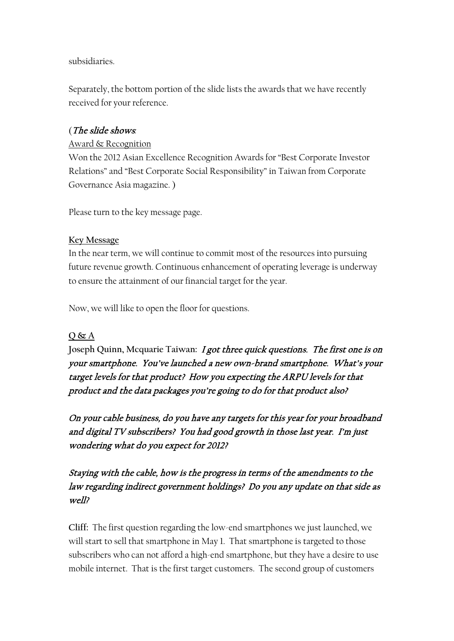## subsidiaries.

Separately, the bottom portion of the slide lists the awards that we have recently received for your reference.

## (The slide shows*:*

## Award & Recognition

Won the 2012 Asian Excellence Recognition Awards for "Best Corporate Investor Relations" and "Best Corporate Social Responsibility" in Taiwan from Corporate Governance Asia magazine. )

Please turn to the key message page.

### **Key Message**

In the near term, we will continue to commit most of the resources into pursuing future revenue growth. Continuous enhancement of operating leverage is underway to ensure the attainment of our financial target for the year.

Now, we will like to open the floor for questions.

## **Q & A**

**Joseph Quinn, Mcquarie Taiwan:** I got three quick questions. The first one is on your smartphone. You've launched a new own-brand smartphone. What's your target levels for that product? How you expecting the ARPU levels for that product and the data packages you're going to do for that product also?

On your cable business, do you have any targets for this year for your broadband and digital TV subscribers? You had good growth in those last year. I'm just wondering what do you expect for 2012?

## Staying with the cable, how is the progress in terms of the amendments to the law regarding indirect government holdings? Do you any update on that side as well?

**Cliff:** The first question regarding the low-end smartphones we just launched, we will start to sell that smartphone in May 1. That smartphone is targeted to those subscribers who can not afford a high-end smartphone, but they have a desire to use mobile internet. That is the first target customers. The second group of customers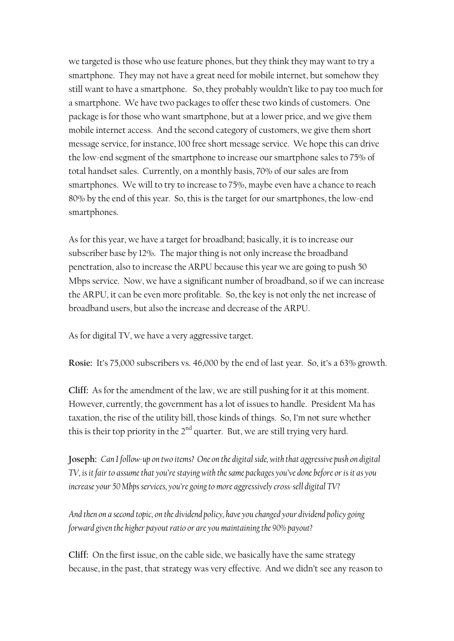we targeted is those who use feature phones, but they think they may want to try a smartphone. They may not have a great need for mobile internet, but somehow they still want to have a smartphone. So, they probably wouldn't like to pay too much for a smartphone. We have two packages to offer these two kinds of customers. One package is for those who want smartphone, but at a lower price, and we give them mobile internet access. And the second category of customers, we give them short message service, for instance, 100 free short message service. We hope this can drive the low-end segment of the smartphone to increase our smartphone sales to 75% of total handset sales. Currently, on a monthly basis, 70% of our sales are from smartphones. We will to try to increase to 75%, maybe even have a chance to reach 80% by the end of this year. So, this is the target for our smartphones, the low-end smartphones.

As for this year, we have a target for broadband; basically, it is to increase our subscriber base by 12%. The major thing is not only increase the broadband penetration, also to increase the ARPU because this year we are going to push 50 Mbps service. Now, we have a significant number of broadband, so if we can increase the ARPU, it can be even more profitable. So, the key is not only the net increase of broadband users, but also the increase and decrease of the ARPU.

As for digital TV, we have a very aggressive target.

**Rosie:** It's 75,000 subscribers vs. 46,000 by the end of last year. So, it's a 63% growth.

**Cliff:** As for the amendment of the law, we are still pushing for it at this moment. However, currently, the government has a lot of issues to handle. President Ma has taxation, the rise of the utility bill, those kinds of things. So, I'm not sure whether this is their top priority in the  $2<sup>nd</sup>$  quarter. But, we are still trying very hard.

**Joseph:** *Can I follow-up on two items? One on the digital side, with that aggressive push on digital TV*, is it fair to assume that you're staying with the same packages you've done before or is it as you *increase your 50 Mbps services, you're going to more aggressively cross-sell digital TV?* 

*And then on a second topic, on the dividend policy, have you changed your dividend policy going forward given the higher payout ratio or are you maintaining the 90% payout?*

**Cliff:** On the first issue, on the cable side, we basically have the same strategy because, in the past, that strategy was very effective. And we didn't see any reason to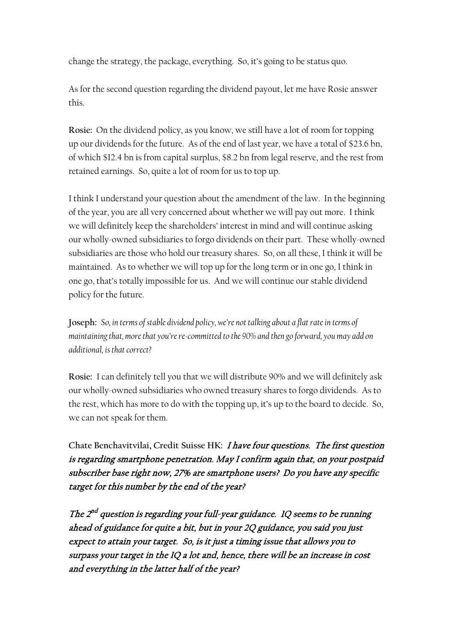change the strategy, the package, everything. So, it's going to be status quo.

As for the second question regarding the dividend payout, let me have Rosie answer this.

**Rosie:** On the dividend policy, as you know, we still have a lot of room for topping up our dividends for the future. As of the end of last year, we have a total of \$23.6 bn, of which \$12.4 bn is from capital surplus, \$8.2 bn from legal reserve, and the rest from retained earnings. So, quite a lot of room for us to top up.

I think I understand your question about the amendment of the law. In the beginning of the year, you are all very concerned about whether we will pay out more. I think we will definitely keep the shareholders' interest in mind and will continue asking our wholly-owned subsidiaries to forgo dividends on their part. These wholly-owned subsidiaries are those who hold our treasury shares. So, on all these, I think it will be maintained. As to whether we will top up for the long term or in one go, I think in one go, that's totally impossible for us. And we will continue our stable dividend policy for the future.

**Joseph:** *So, in terms of stable dividend policy, we're not talking about a flat rate in terms of maintaining that, more that you're re-committed to the 90% and then go forward, you may add on additional, is that correct?*

**Rosie:** I can definitely tell you that we will distribute 90% and we will definitely ask our wholly-owned subsidiaries who owned treasury shares to forgo dividends. As to the rest, which has more to do with the topping up, it's up to the board to decide. So, we can not speak for them.

**Chate Benchavitvilai, Credit Suisse HK:** I have four questions. The first question is regarding smartphone penetration. May I confirm again that, on your postpaid subscriber base right now, 27% are smartphone users? Do you have any specific target for this number by the end of the year?

The  $2^{nd}$  question is regarding your full-year guidance. 1Q seems to be running ahead of guidance for quite a bit, but in your 2Q guidance, you said you just expect to attain your target. So, is it just a timing issue that allows you to surpass your target in the 1Q a lot and, hence, there will be an increase in cost and everything in the latter half of the year?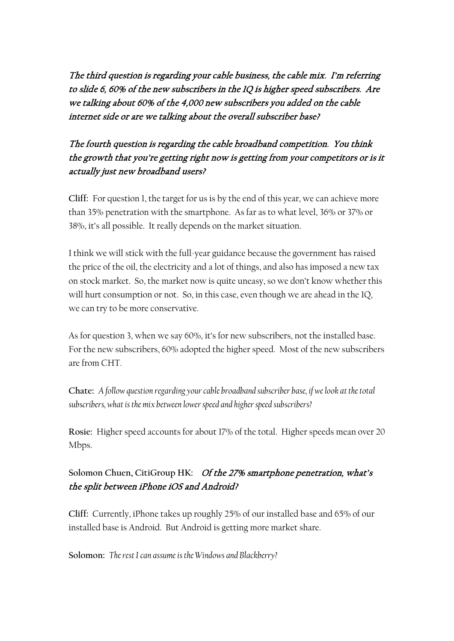The third question is regarding your cable business, the cable mix. I'm referring to slide 6, 60% of the new subscribers in the 1Q is higher speed subscribers. Are we talking about 60% of the 4,000 new subscribers you added on the cable internet side or are we talking about the overall subscriber base?

# The fourth question is regarding the cable broadband competition. You think the growth that you're getting right now is getting from your competitors or is it actually just new broadband users?

**Cliff:** For question 1, the target for us is by the end of this year, we can achieve more than 35% penetration with the smartphone. As far as to what level, 36% or 37% or 38%, it's all possible. It really depends on the market situation.

I think we will stick with the full-year guidance because the government has raised the price of the oil, the electricity and a lot of things, and also has imposed a new tax on stock market. So, the market now is quite uneasy, so we don't know whether this will hurt consumption or not. So, in this case, even though we are ahead in the 1Q, we can try to be more conservative.

As for question 3, when we say 60%, it's for new subscribers, not the installed base. For the new subscribers, 60% adopted the higher speed. Most of the new subscribers are from CHT.

**Chate:** *A follow question regarding your cable broadband subscriber base, if we look at the total subscribers, what is the mix between lower speed and higher speed subscribers?*

**Rosie:** Higher speed accounts for about 17% of the total. Higher speeds mean over 20 Mbps.

## **Solomon Chuen, CitiGroup HK:** Of the 27% smartphone penetration, what's the split between iPhone iOS and Android?

**Cliff:** Currently, iPhone takes up roughly 25% of our installed base and 65% of our installed base is Android. But Android is getting more market share.

**Solomon:** *The rest I can assume is the Windows and Blackberry?*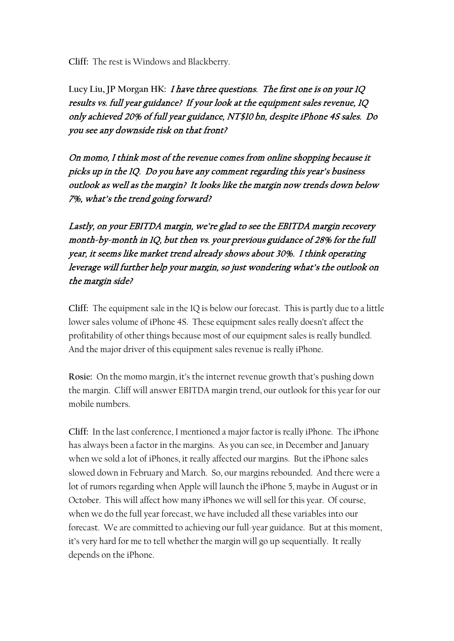**Cliff:** The rest is Windows and Blackberry.

Lucy Liu, JP Morgan HK: *I have three questions. The first one is on your 1Q* results vs. full year guidance? If your look at the equipment sales revenue, 1Q only achieved 20% of full year guidance, NT\$10 bn, despite iPhone 4S sales. Do you see any downside risk on that front?

On momo, I think most of the revenue comes from online shopping because it picks up in the 1Q. Do you have any comment regarding this year's business outlook as well as the margin? It looks like the margin now trends down below 7%, what's the trend going forward?

Lastly, on your EBITDA margin, we're glad to see the EBITDA margin recovery month-by-month in 1Q, but then vs. your previous guidance of 28% for the full year, it seems like market trend already shows about 30%. I think operating leverage will further help your margin, so just wondering what's the outlook on the margin side?

**Cliff:** The equipment sale in the 1Q is below our forecast. This is partly due to a little lower sales volume of iPhone 4S. These equipment sales really doesn't affect the profitability of other things because most of our equipment sales is really bundled. And the major driver of this equipment sales revenue is really iPhone.

**Rosie:** On the momo margin, it's the internet revenue growth that's pushing down the margin. Cliff will answer EBITDA margin trend, our outlook for this year for our mobile numbers.

**Cliff:** In the last conference, I mentioned a major factor is really iPhone. The iPhone has always been a factor in the margins. As you can see, in December and January when we sold a lot of iPhones, it really affected our margins. But the iPhone sales slowed down in February and March. So, our margins rebounded. And there were a lot of rumors regarding when Apple will launch the iPhone 5, maybe in August or in October. This will affect how many iPhones we will sell for this year. Of course, when we do the full year forecast, we have included all these variables into our forecast. We are committed to achieving our full-year guidance. But at this moment, it's very hard for me to tell whether the margin will go up sequentially. It really depends on the iPhone.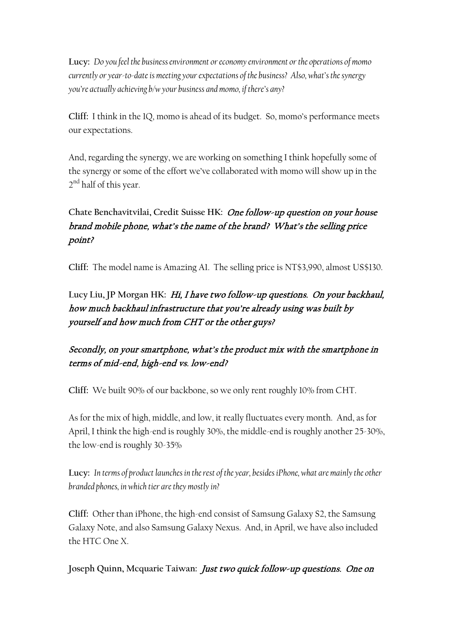**Lucy:** *Do you feel the business environment or economy environment or the operations of momo currently or year-to-dateis meeting your expectations of the business? Also, what's the synergy you're actually achieving b/w your business and momo, if there's any?*

**Cliff:** I think in the 1Q, momo is ahead of its budget. So, momo's performance meets our expectations.

And, regarding the synergy, we are working on something I think hopefully some of the synergy or some of the effort we've collaborated with momo will show up in the 2<sup>nd</sup> half of this year.

# **Chate Benchavitvilai, Credit Suisse HK:** One follow-up question on your house brand mobile phone, what's the name of the brand? What's the selling price point?

**Cliff:** The model name is Amazing A1. The selling price is NT\$3,990, almost US\$130.

**Lucy Liu, JP Morgan HK:** Hi, I have two follow-up questions. On your backhaul, how much backhaul infrastructure that you're already using was built by yourself and how much from CHT or the other guys?

# Secondly, on your smartphone, what's the product mix with the smartphone in terms of mid-end, high-end vs. low-end?

**Cliff:** We built 90% of our backbone, so we only rent roughly 10% from CHT.

As for the mix of high, middle, and low, it really fluctuates every month. And, as for April, I think the high-end is roughly 30%, the middle-end is roughly another 25-30%, the low-end is roughly 30-35%

**Lucy:** *In terms of product launches in the rest of the year, besides iPhone, what are mainly the other branded phones, in which tier are they mostly in?*

**Cliff:** Other than iPhone, the high-end consist of Samsung Galaxy S2, the Samsung Galaxy Note, and also Samsung Galaxy Nexus. And, in April, we have also included the HTC One X.

**Joseph Quinn, Mcquarie Taiwan:** Just two quick follow-up questions. One on